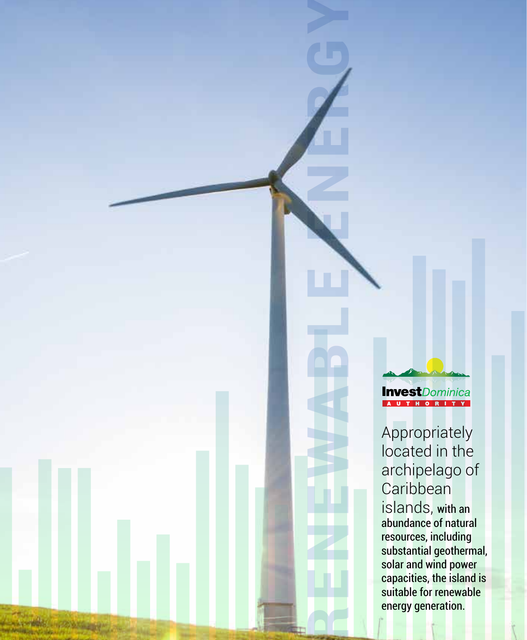Renessant Controllers (The Superior Controllers (The Superior Capacities, the island of properties, the island substantial energy generation. Appropriately<br>located in the archipelago of Caribbean islands, with an abundance of natural resources, including substantial geothermal, solar and wind power capacities, the island is suitable for renewable energy generation.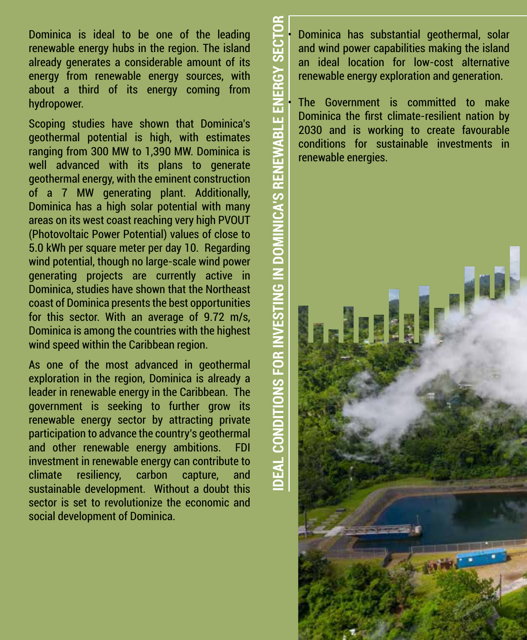Dominica is ideal to be one of the leading renewable energy hubs in the region. The island already generates a considerable amount of its energy from renewable energy sources, with about a third of its energy coming from hydropower.

Scoping studies have shown that Dominica's geothermal potential is high, with estimates ranging from 300 MW to 1,390 MW. Dominica is well advanced with its plans to generate geothermal energy, with the eminent construction of a 7 MW generating plant. Additionally, Dominica has a high solar potential with many areas on its west coast reaching very high PVOUT (Photovoltaic Power Potential) values of close to 5.0 kWh per square meter per day 10. Regarding wind potential, though no large-scale wind power generating projects are currently active in Dominica, studies have shown that the Northeast coast of Dominica presents the best opportunities for this sector. With an average of 9.72 m/s, Dominica is among the countries with the highest wind speed within the Caribbean region.

As one of the most advanced in geothermal exploration in the region, Dominica is already a leader in renewable energy in the Caribbean. The government is seeking to further grow its renewable energy sector by attracting private participation to advance the country's geothermal and other renewable energy ambitions. FDI investment in renewable energy can contribute to climate resiliency, carbon capture, and sustainable development. Without a doubt this sector is set to revolutionize the economic and social development of Dominica.

• Dominica has substantial geothermal, solar and wind power capabilities making the island an ideal location for low-cost alternative renewable energy exploration and generation.

**ASSENE** 

The Government is committed to make Dominica the first climate-resilient nation by 2030 and is working to create favourable conditions for sustainable investments in renewable energies.

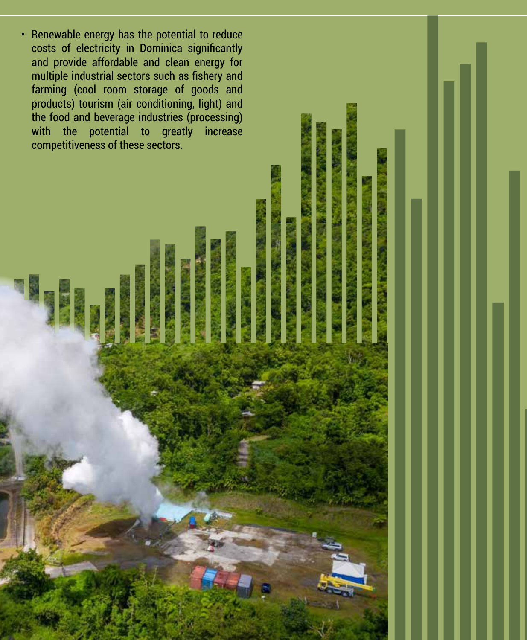• Renewable energy has the potential to reduce costs of electricity in Dominica significantly and provide affordable and clean energy for multiple industrial sectors such as fishery and farming (cool room storage of goods and products) tourism (air conditioning, light) and the food and beverage industries (processing) with the potential to greatly increase competitiveness of these sectors.

同盟